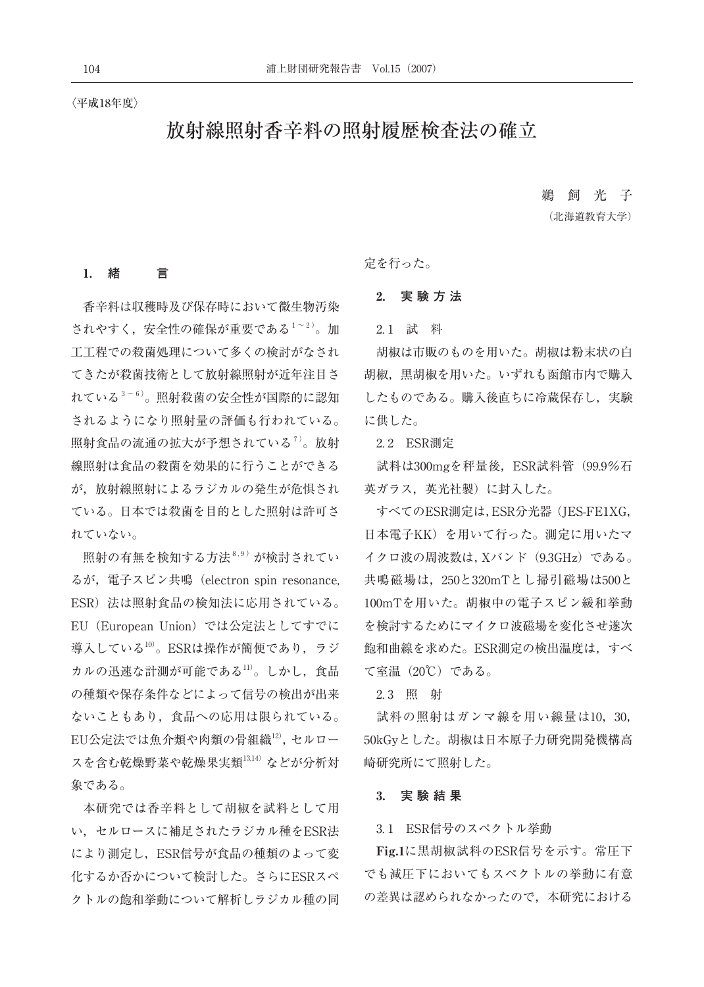#### 〈平成18年度〉

# 放射線照射香辛料の照射履歴検査法の確立

鵜 飼 光 子 (北海道教育大学)

#### 1.  **緒 言**

香辛料は収穫時及び保存時において微生物汚染 されやすく,安全性の確保が重要である1~2)。加 工工程での殺菌処理について多くの検討がなされ てきたが殺菌技術として放射線照射が近年注目さ れている<sup>3~6)</sup>。照射殺菌の安全性が国際的に認知 されるようになり照射量の評価も行われている。 照射食品の流通の拡大が予想されている<sup>7)</sup>。放射 線照射は食品の殺菌を効果的に行うことができる が,放射線照射によるラジカルの発生が危惧され ている。日本では殺菌を目的とした照射は許可さ れていない。

照射の有無を検知する方法 $8.9$ ) が検討されてい るが, 電子スピン共鳴 (electron spin resonance, ESR)法は照射食品の検知法に応用されている。 EU (European Union) では公定法としてすでに 導入している10)。ESRは操作が簡便であり、ラジ カルの迅速な計測が可能である11)。しかし、食品 の種類や保存条件などによって信号の検出が出来 ないこともあり,食品への応用は限られている。 EU公定法では魚介類や肉類の骨組織12),セルロー スを含む乾燥野菜や乾燥果実類13,14)などが分析対 象である。

本研究では香辛料として胡椒を試料として用 い,セルロースに補足されたラジカル種をESR法 により測定し,ESR信号が食品の種類のよって変 化するか否かについて検討した。さらにESRスペ クトルの飽和挙動について解析しラジカル種の同 定を行った。

### 2.  **実 験 方 法**

2. 1 試 料

胡椒は市販のものを用いた。胡椒は粉末状の白 胡椒,黒胡椒を用いた。いずれも函館市内で購入 したものである。購入後直ちに冷蔵保存し、実験 に供した。

2.2 ESR測定

試料は300mgを秤量後, ESR試料管 (99.9%石 英ガラス,英光社製)に封入した。

すべてのESR測定は,ESR分光器(JES-FE1XG, 日本電子KK)を用いて行った。測定に用いたマ イクロ波の周波数は,Xバンド(9.3GHz)である。 共鳴磁場は,250と320mTとし掃引磁場は500と 100mTを用いた。胡椒中の電子スピン緩和挙動 を検討するためにマイクロ波磁場を変化させ遂次 飽和曲線を求めた。ESR測定の検出温度は,すべ て室温(20℃)である。

2. 3 照 射

試料の照射はガンマ線を用い線量は10,30, 50kGyとした。胡椒は日本原子力研究開発機構高 崎研究所にて照射した。

#### 3.  **実 験 結 果**

3. 1 ESR信号のスペクトル挙動

Fig.1に黒胡椒試料のESR信号を示す。常圧下 でも減圧下においてもスペクトルの挙動に有意 の差異は認められなかったので,本研究における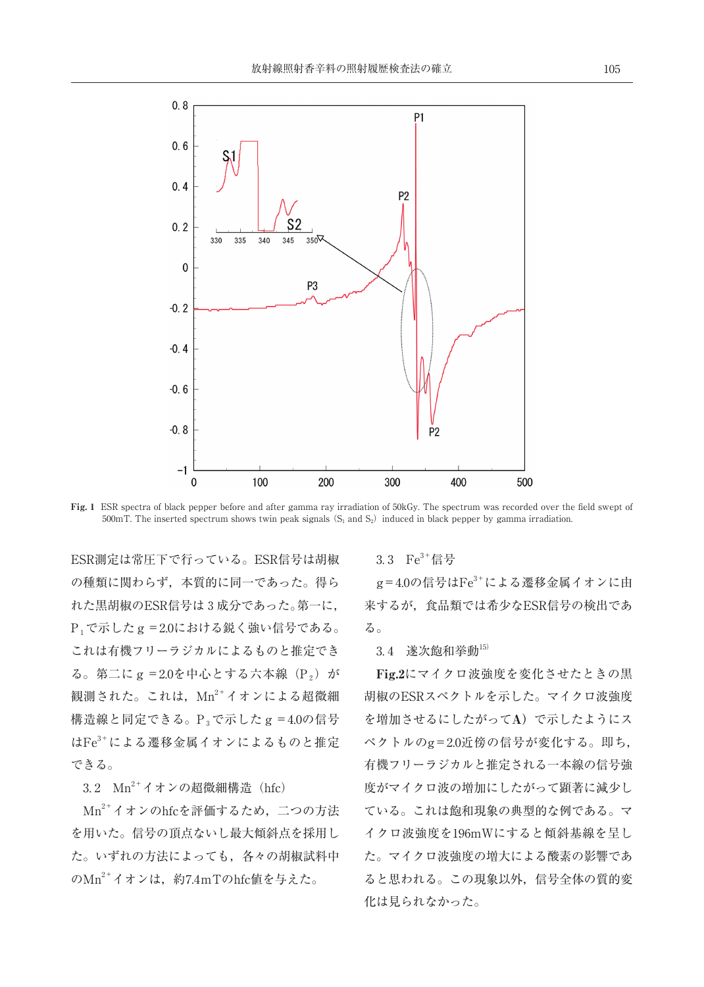

Fig. 1 ESR spectra of black pepper before and after gamma ray irradiation of 50kGy. The spectrum was recorded over the field swept of 500mT. The inserted spectrum shows twin peak signals  $(S_1 \text{ and } S_2)$  induced in black pepper by gamma irradiation.

ESR測定は常圧下で行っている。ESR信号は胡椒 の種類に関わらず,本質的に同一であった。得ら れた黒胡椒のESR信号は3成分であった。第一に, P1で示したg=2.0における鋭く強い信号である。 これは有機フリーラジカルによるものと推定でき  $\delta$ 。第二にg = 2.0を中心とする六本線(P2)が 観測された。これは、Mn2+イオンによる超微細 構造線と同定できる。P<sub>3</sub>で示した g = 4.0の信号 はFe3+による遷移金属イオンによるものと推定 できる。

3.2  $Mn^{2+}$ イオンの超微細構造 (hfc)

Mn2+イオンのhfcを評価するため,二つの方法 を用いた。信号の頂点ないし最大傾斜点を採用し た。いずれの方法によっても,各々の胡椒試料中 のMn<sup>2+</sup>イオンは、約7.4mTのhfc値を与えた。

#### $3.3$   $Fe<sup>3+</sup>$ 信号

 $g = 4.0$ の信号は $Fe<sup>3+</sup>$ による遷移金属イオンに由 来するが,食品類では希少なESR信号の検出であ る。

3. 4 遂次飽和挙動15)

Fig.2にマイクロ波強度を変化させたときの黒 胡椒のESRスペクトルを示した。マイクロ波強度 を増加させるにしたがってA)で示したようにス ペクトルのg=2.0近傍の信号が変化する。即ち, 有機フリーラジカルと推定される一本線の信号強 度がマイクロ波の増加にしたがって顕著に減少し ている。これは飽和現象の典型的な例である。マ イクロ波強度を196mWにすると傾斜基線を呈し た。マイクロ波強度の増大による酸素の影響であ ると思われる。この現象以外,信号全体の質的変 化は見られなかった。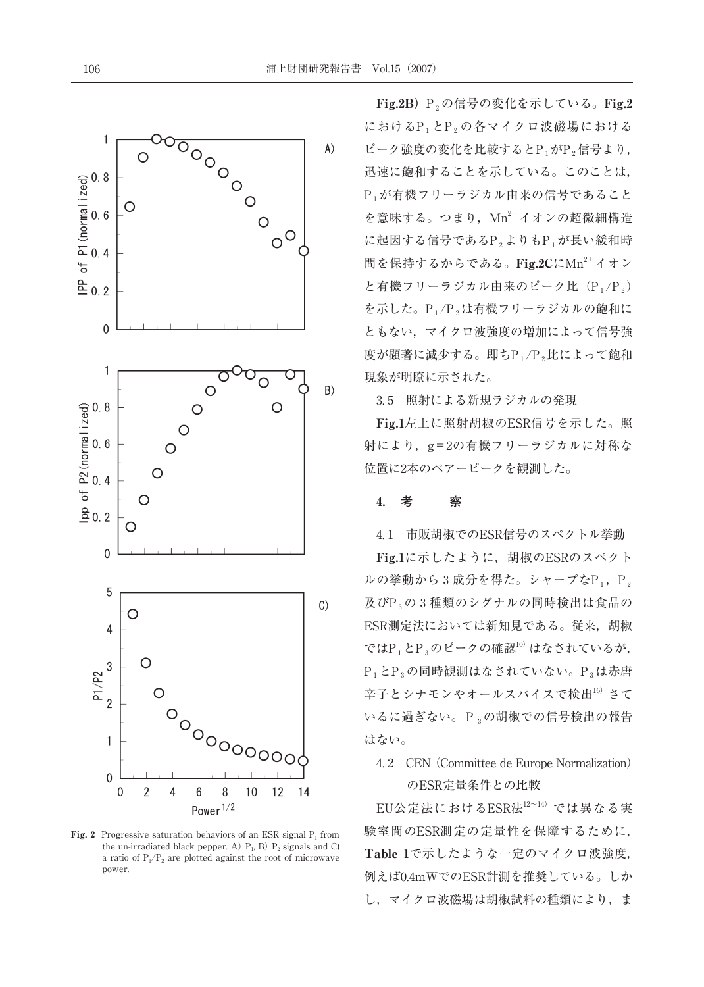

Fig. 2 Progressive saturation behaviors of an ESR signal  $P_1$  from the un-irradiated black pepper. A)  $P_1$ , B)  $P_2$  signals and C) a ratio of  $P_1/P_2$  are plotted against the root of microwave power.

Fig.2B) P,の信号の変化を示している。Fig.2 におけるP1とP2の各マイクロ波磁場における ピーク強度の変化を比較するとP1がP2信号より, 迅速に飽和することを示している。このことは, P1が有機フリーラジカル由来の信号であること を意味する。つまり、 $Mn^{2+}$ イオンの超微細構造 に起因する信号であるP2よりもP1が長い緩和時 間を保持するからである。Fig.2CにMn<sup>2+</sup>イオン と有機フリーラジカル由来のピーク比(P1/P2) を示した。P<sub>1</sub>/P<sub>2</sub>は有機フリーラジカルの飽和に ともない,マイクロ波強度の増加によって信号強 度が顕著に減少する。即ち $P_1/P_2$ 比によって飽和 現象が明瞭に示された。

3. 5 照射による新規ラジカルの発現

Fig.1左上に照射胡椒のESR信号を示した。照 射により,g=2の有機フリーラジカルに対称な 位置に2本のペアーピークを観測した。

#### 4.  **考 察**

4. 1 市販胡椒でのESR信号のスペクトル挙動

Fig.1に示したように,胡椒のESRのスペクト ルの挙動から3成分を得た。シャープなP1, P2 及びP<sub>3</sub>の3種類のシグナルの同時検出は食品の ESR測定法においては新知見である。従来,胡椒 では $P_1$ と $P_3$ のピークの確認 $10$ )はなされているが, P<sub>1</sub>とP<sub>3</sub>の同時観測はなされていない。P<sub>3</sub>は赤唐 辛子とシナモンやオールスパイスで検出16)さて いるに過ぎない。P3の胡椒での信号検出の報告 はない。

4. 2 CEN (Committee de Europe Normalization) のESR定量条件との比較

EU公定法におけるESR法12~14) では異なる実 験室間のESR測定の定量性を保障するために, Table 1で示したような一定のマイクロ波強度, 例えば0.4mWでのESR計測を推奨している。しか し、マイクロ波磁場は胡椒試料の種類により、ま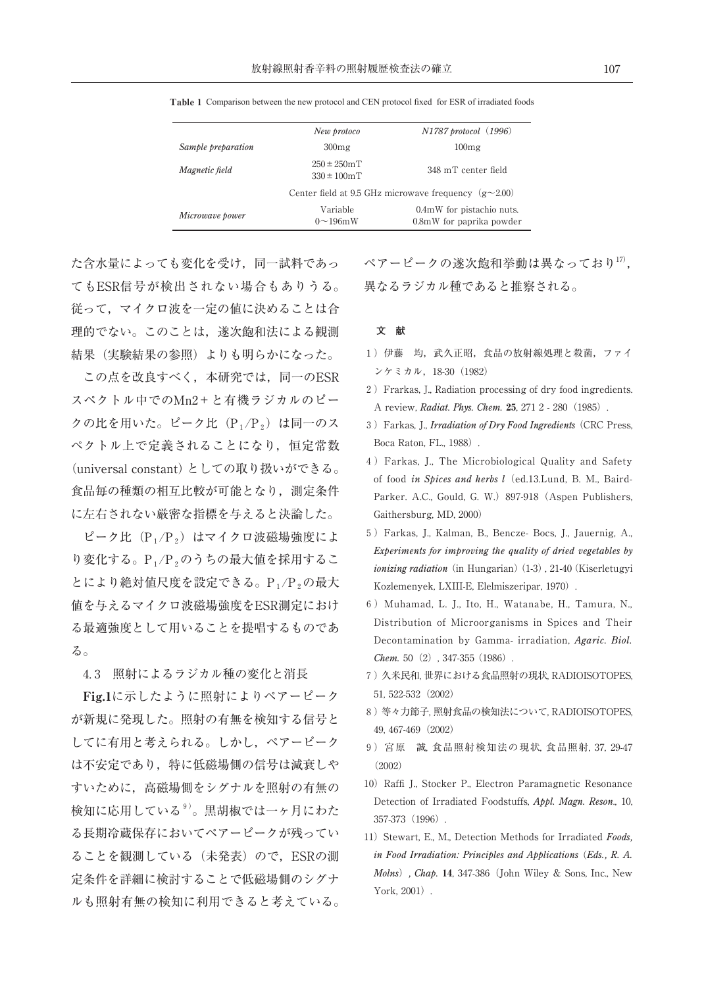|                    | New protoco                                                 | N1787 protocol (1996)                                 |
|--------------------|-------------------------------------------------------------|-------------------------------------------------------|
| Sample preparation | 300mg                                                       | 100mg                                                 |
| Magnetic field     | $250 \pm 250$ mT<br>$330 \pm 100$ mT                        | 348 mT center field                                   |
|                    | Center field at 9.5 GHz microwave frequency $(g \sim 2.00)$ |                                                       |
| Microwave power    | Variable<br>$0\sim196$ mW                                   | 0.4mW for pistachio nuts.<br>0.8mW for paprika powder |

Table 1 Comparison between the new protocol and CEN protocol fixed for ESR of irradiated foods

た含水量によっても変化を受け,同一試料であっ てもESR信号が検出されない場合もありうる。 従って,マイクロ波を一定の値に決めることは合 理的でない。このことは,遂次飽和法による観測 結果(実験結果の参照)よりも明らかになった。

この点を改良すべく,本研究では,同一のESR スペクトル中でのMn2+と有機ラジカルのピー クの比を用いた。ピーク比(P1/P2)は同一のス ペクトル上で定義されることになり,恒定常数 (universal constant)としての取り扱いができる。 食品毎の種類の相互比較が可能となり,測定条件 に左右されない厳密な指標を与えると決論した。

ピーク比 (P1/P2)はマイクロ波磁場強度によ り変化する。P1/P2のうちの最大値を採用するこ とにより絶対値尺度を設定できる。P<sub>1</sub>/P<sub>2</sub>の最大 値を与えるマイクロ波磁場強度をESR測定におけ る最適強度として用いることを提唱するものであ る。

4. 3 照射によるラジカル種の変化と消長

Fig.1に示したように照射によりペアーピーク が新規に発現した。照射の有無を検知する信号と してに有用と考えられる。しかし,ペアーピーク は不安定であり,特に低磁場側の信号は減衰しや すいために,高磁場側をシグナルを照射の有無の 検知に応用している9)。黒胡椒では一ヶ月にわた る長期冷蔵保存においてペアーピークが残ってい ることを観測している(未発表)ので,ESRの測 定条件を詳細に検討することで低磁場側のシグナ ルも照射有無の検知に利用できると考えている。

ペアーピークの遂次飽和挙動は異なっており17), 異なるラジカル種であると推察される。

#### **文 献**

- 1)伊藤 均,武久正昭,食品の放射線処理と殺菌,ファイ ンケミカル,18-30(1982)
- 2) Frarkas, J., Radiation processing of dry food ingredients. A review, *Radiat. Phys. Chem.* 25, 271 2 - 280(1985).
- 3)Farkas, J., *Irradiation of Dry Food Ingredients* (CRC Press, Boca Raton, FL., 1988).
- 4)Farkas, J., The Microbiological Quality and Safety of food *in Spices and herbs l*(ed.13.Lund, B. M., Baird-Parker. A.C., Gould, G. W.) 897-918 (Aspen Publishers, Gaithersburg, MD, 2000)
- 5)Farkas, J., Kalman, B., Bencze- Bocs, J., Jauernig, A., *Experiments for improving the quality of dried vegetables by ionizing radiation* (in Hungarian) (1-3), 21-40 (Kiserletugyi Kozlemenyek, LXIII-E, Elelmiszeripar, 1970).
- 6) Muhamad, L. J., Ito, H., Watanabe, H., Tamura, N., Distribution of Microorganisms in Spices and Their Decontamination by Gamma- irradiation, *Agaric. Biol. Chem.* 50 (2), 347-355 (1986).
- 7)久米民和, 世界における食品照射の現状, RADIOISOTOPES, 51, 522-532(2002)
- 8)等々力節子, 照射食品の検知法について, RADIOISOTOPES, 49, 467-469(2002)
- 9)宮原 誠, 食品照射検知法の現状, 食品照射, 37, 29-47 (2002)
- 10) Raffi J., Stocker P., Electron Paramagnetic Resonance Detection of Irradiated Foodstuffs, *Appl. Magn. Reson*., 10, 357-373(1996).
- 11) Stewart, E., M., Detection Methods for Irradiated *Foods*, *in Food Irradiation: Principles and Applications* (*Eds., R. A. Molns*)*, Chap.* 14, 347-386(John Wiley & Sons, Inc., New York, 2001).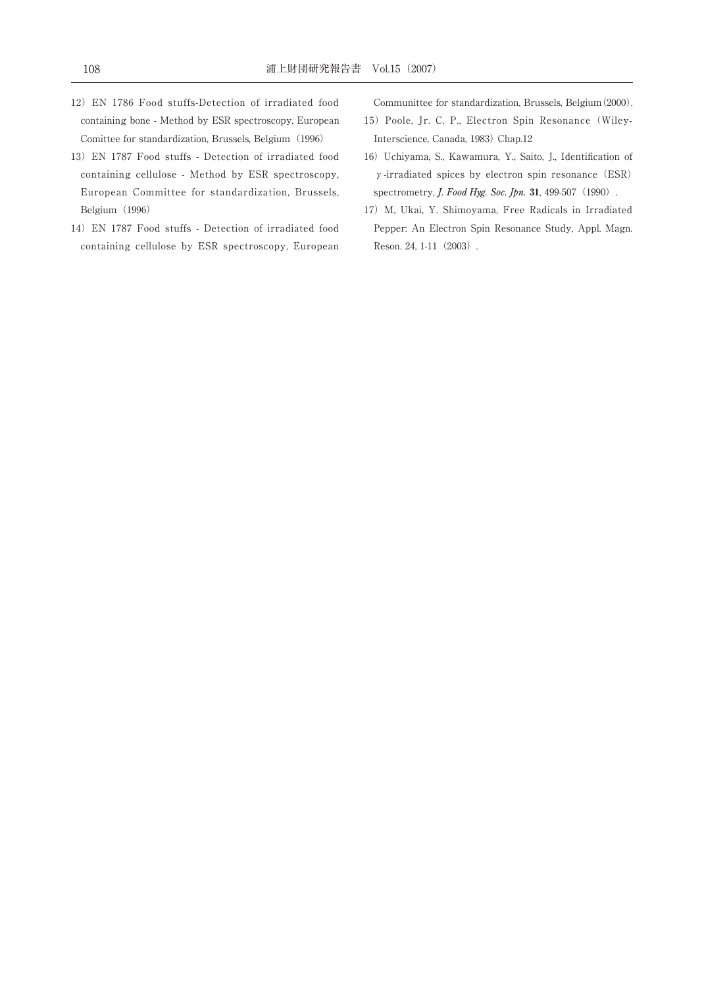- 12)EN 1786 Food stuffs-Detection of irradiated food containing bone - Method by ESR spectroscopy, European Comittee for standardization, Brussels, Belgium (1996)
- 13)EN 1787 Food stuffs Detection of irradiated food containing cellulose - Method by ESR spectroscopy, European Committee for standardization, Brussels, Belgium (1996)
- 14)EN 1787 Food stuffs Detection of irradiated food containing cellulose by ESR spectroscopy, European

Communittee for standardization, Brussels, Belgium(2000).

- 15) Poole, Jr. C. P., Electron Spin Resonance (Wiley-Interscience, Canada, 1983) Chap.12
- 16) Uchiyama, S., Kawamura, Y., Saito, J., Identification of γ-irradiated spices by electron spin resonance (ESR) spectrometry, *J. Food Hyg. Soc. Jpn.* 31, 499-507 (1990).
- 17) M, Ukai, Y. Shimoyama, Free Radicals in Irradiated Pepper: An Electron Spin Resonance Study, Appl. Magn. Reson. 24, 1-11 (2003).